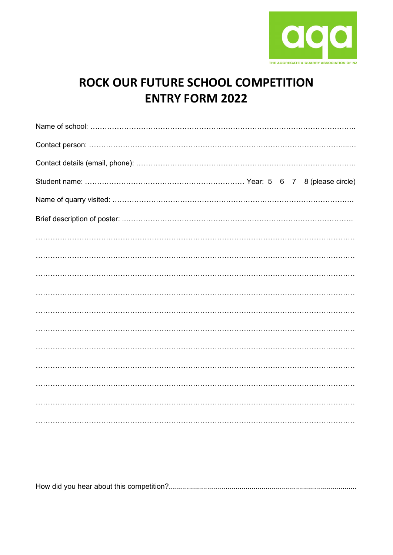

## ROCK OUR FUTURE SCHOOL COMPETITION **ENTRY FORM 2022**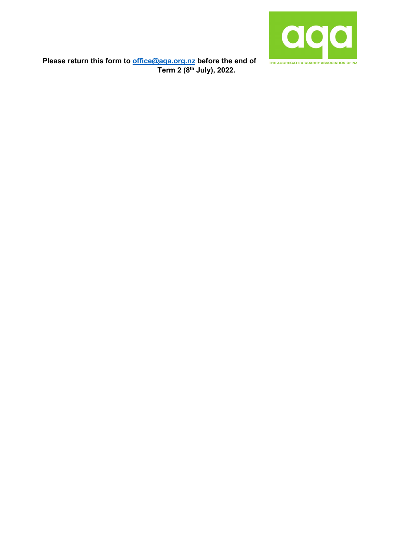

**Please return this form to [office@aqa.org.nz](mailto:office@aqa.org.nz) before the end of Term 2 (8th July), 2022.**